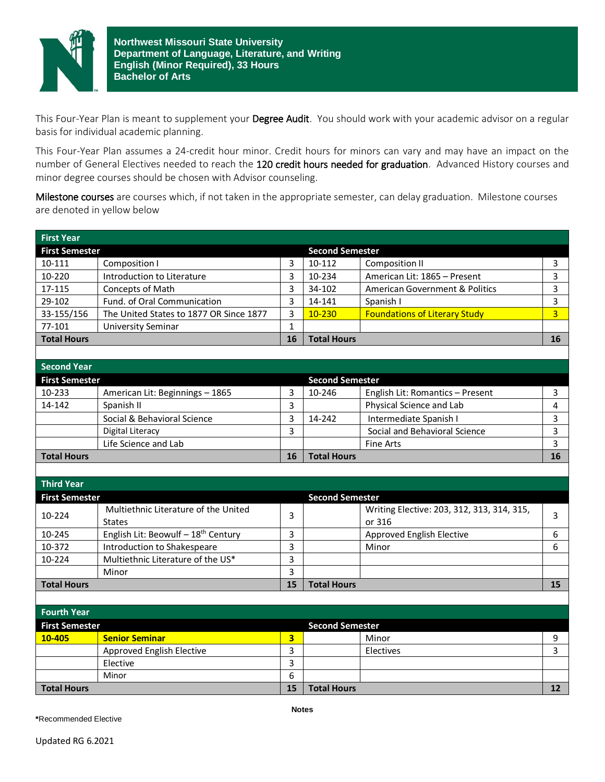

This Four-Year Plan is meant to supplement your Degree Audit. You should work with your academic advisor on a regular basis for individual academic planning.

This Four-Year Plan assumes a 24-credit hour minor. Credit hours for minors can vary and may have an impact on the number of General Electives needed to reach the 120 credit hours needed for graduation. Advanced History courses and minor degree courses should be chosen with Advisor counseling.

Milestone courses are courses which, if not taken in the appropriate semester, can delay graduation. Milestone courses are denoted in yellow below

| <b>First Year</b>                               |                                                 |                         |                        |                                            |                   |
|-------------------------------------------------|-------------------------------------------------|-------------------------|------------------------|--------------------------------------------|-------------------|
| <b>First Semester</b><br><b>Second Semester</b> |                                                 |                         |                        |                                            |                   |
| 10-111                                          | Composition I                                   | 3                       | 10-112                 | <b>Composition II</b>                      | 3                 |
| 10-220                                          | Introduction to Literature                      | 3                       | 10-234                 | American Lit: 1865 - Present               | 3                 |
| 17-115                                          | Concepts of Math                                | 3                       | 34-102                 | <b>American Government &amp; Politics</b>  | 3                 |
| 29-102                                          | Fund. of Oral Communication                     | 3                       | 14-141                 | Spanish I                                  | 3                 |
| 33-155/156                                      | The United States to 1877 OR Since 1877         | 3                       | 10-230                 | <b>Foundations of Literary Study</b>       | 3                 |
| 77-101                                          | <b>University Seminar</b>                       | $\mathbf{1}$            |                        |                                            |                   |
| <b>Total Hours</b>                              |                                                 | <b>16</b>               | <b>Total Hours</b>     |                                            | 16                |
|                                                 |                                                 |                         |                        |                                            |                   |
| <b>Second Year</b>                              |                                                 |                         |                        |                                            |                   |
| <b>First Semester</b>                           |                                                 |                         | <b>Second Semester</b> |                                            |                   |
| 10-233                                          | American Lit: Beginnings - 1865                 | 3                       | 10-246                 | English Lit: Romantics - Present           | 3                 |
| 14-142                                          | Spanish II                                      | 3                       |                        | Physical Science and Lab                   | 4                 |
|                                                 | Social & Behavioral Science                     | 3                       | 14-242                 | Intermediate Spanish I                     | 3                 |
|                                                 | <b>Digital Literacy</b>                         | 3                       |                        | Social and Behavioral Science              | 3                 |
|                                                 | Life Science and Lab                            |                         |                        | Fine Arts                                  | 3                 |
| <b>Total Hours</b>                              |                                                 | 16                      | <b>Total Hours</b>     |                                            | 16                |
|                                                 |                                                 |                         |                        |                                            |                   |
| <b>Third Year</b>                               |                                                 |                         |                        |                                            |                   |
| <b>First Semester</b>                           |                                                 |                         | <b>Second Semester</b> |                                            |                   |
| 10-224                                          | Multiethnic Literature of the United            | 3                       |                        | Writing Elective: 203, 312, 313, 314, 315, |                   |
|                                                 | <b>States</b>                                   |                         |                        | or 316                                     | 3                 |
| 10-245                                          | English Lit: Beowulf - 18 <sup>th</sup> Century | 3                       |                        | Approved English Elective                  | 6                 |
| 10-372                                          | Introduction to Shakespeare                     | 3                       |                        | Minor                                      | 6                 |
| 10-224                                          | Multiethnic Literature of the US*               | 3                       |                        |                                            |                   |
|                                                 | Minor                                           | 3                       |                        |                                            |                   |
| <b>Total Hours</b>                              |                                                 | 15                      | <b>Total Hours</b>     |                                            | 15                |
|                                                 |                                                 |                         |                        |                                            |                   |
| <b>Fourth Year</b>                              |                                                 |                         |                        |                                            |                   |
| <b>First Semester</b>                           |                                                 |                         | <b>Second Semester</b> |                                            |                   |
| 10-405                                          | <b>Senior Seminar</b>                           | $\overline{\mathbf{3}}$ |                        | Minor                                      | 9                 |
|                                                 | Approved English Elective                       | 3                       |                        | Electives                                  | 3                 |
|                                                 | Elective                                        | 3                       |                        |                                            |                   |
|                                                 | Minor                                           | 6                       |                        |                                            |                   |
| <b>Total Hours</b>                              |                                                 | 15                      | <b>Total Hours</b>     |                                            | $12 \overline{ }$ |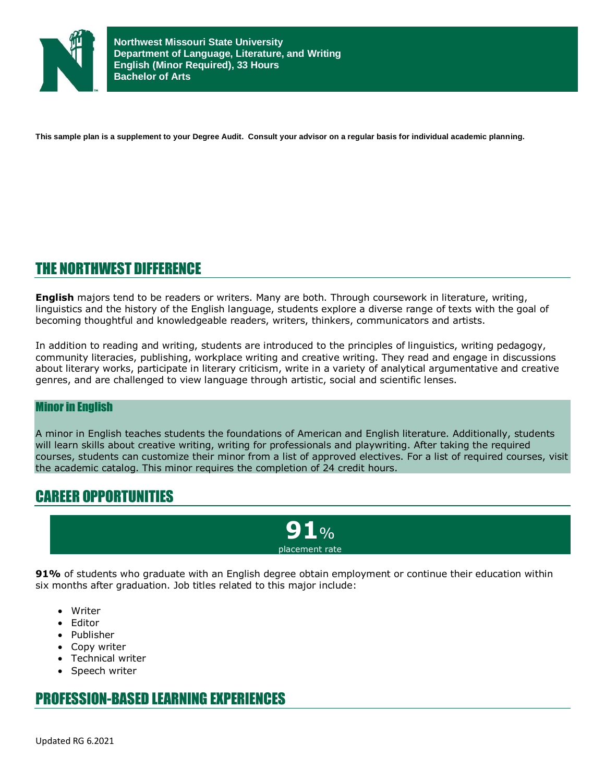

**This sample plan is a supplement to your Degree Audit. Consult your advisor on a regular basis for individual academic planning.**

## THE NORTHWEST DIFFERENCE

**English** majors tend to be readers or writers. Many are both. Through coursework in literature, writing, linguistics and the history of the English language, students explore a diverse range of texts with the goal of becoming thoughtful and knowledgeable readers, writers, thinkers, communicators and artists.

In addition to reading and writing, students are introduced to the principles of linguistics, writing pedagogy, community literacies, publishing, workplace writing and creative writing. They read and engage in discussions about literary works, participate in literary criticism, write in a variety of analytical argumentative and creative genres, and are challenged to view language through artistic, social and scientific lenses.

## Minor in English

A minor in English teaches students the foundations of American and English literature. Additionally, students will learn skills about creative writing, writing for professionals and playwriting. After taking the required courses, students can customize their minor from a list of approved electives. For a list of required courses, visit the academic catalog. This minor requires the completion of 24 credit hours.

## CAREER OPPORTUNITIES

**91**% placement rate

**91%** of students who graduate with an English degree obtain employment or continue their education within six months after graduation. Job titles related to this major include:

- Writer
- Editor
- Publisher
- Copy writer
- Technical writer
- Speech writer

## PROFESSION-BASED LEARNING EXPERIENCES